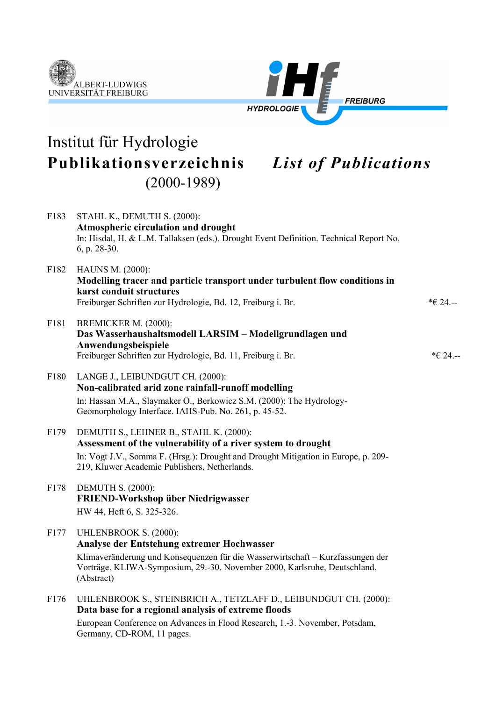



# Institut für Hydrologie **Publikationsverzeichnis** *List of Publications* (2000-1989)

| F183 | STAHL K., DEMUTH S. (2000):<br>Atmospheric circulation and drought<br>In: Hisdal, H. & L.M. Tallaksen (eds.). Drought Event Definition. Technical Report No.<br>6, p. 28-30.                                                                            |          |
|------|---------------------------------------------------------------------------------------------------------------------------------------------------------------------------------------------------------------------------------------------------------|----------|
| F182 | HAUNS M. (2000):<br>Modelling tracer and particle transport under turbulent flow conditions in<br>karst conduit structures<br>Freiburger Schriften zur Hydrologie, Bd. 12, Freiburg i. Br.                                                              | *€ 24.-- |
| F181 | BREMICKER M. (2000):<br>Das Wasserhaushaltsmodell LARSIM - Modellgrundlagen und<br>Anwendungsbeispiele<br>Freiburger Schriften zur Hydrologie, Bd. 11, Freiburg i. Br.                                                                                  | *€ 24.-- |
| F180 | LANGE J., LEIBUNDGUT CH. (2000):<br>Non-calibrated arid zone rainfall-runoff modelling<br>In: Hassan M.A., Slaymaker O., Berkowicz S.M. (2000): The Hydrology-<br>Geomorphology Interface. IAHS-Pub. No. 261, p. 45-52.                                 |          |
| F179 | DEMUTH S., LEHNER B., STAHL K. (2000):<br>Assessment of the vulnerability of a river system to drought<br>In: Vogt J.V., Somma F. (Hrsg.): Drought and Drought Mitigation in Europe, p. 209-<br>219, Kluwer Academic Publishers, Netherlands.           |          |
| F178 | <b>DEMUTH S. (2000):</b><br>FRIEND-Workshop über Niedrigwasser<br>HW 44, Heft 6, S. 325-326.                                                                                                                                                            |          |
| F177 | <b>UHLENBROOK S. (2000):</b><br>Analyse der Entstehung extremer Hochwasser<br>Klimaveränderung und Konsequenzen für die Wasserwirtschaft – Kurzfassungen der<br>Vorträge. KLIWA-Symposium, 29.-30. November 2000, Karlsruhe, Deutschland.<br>(Abstract) |          |
| F176 | UHLENBROOK S., STEINBRICH A., TETZLAFF D., LEIBUNDGUT CH. (2000):<br>Data base for a regional analysis of extreme floods                                                                                                                                |          |

European Conference on Advances in Flood Research, 1.-3. November, Potsdam, Germany, CD-ROM, 11 pages.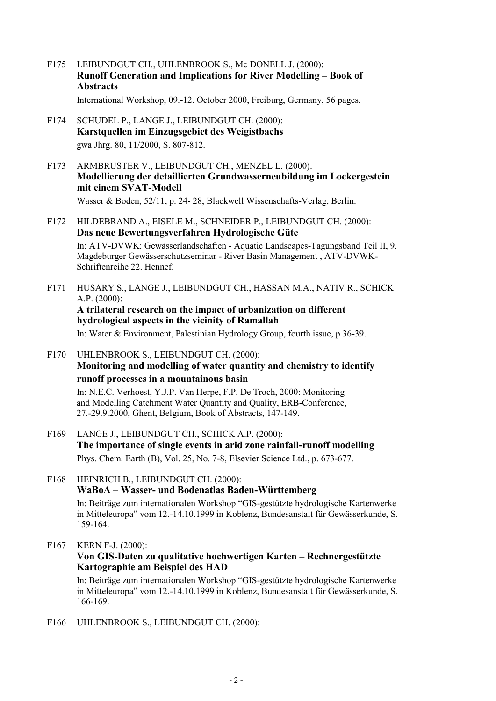F175 LEIBUNDGUT CH., UHLENBROOK S., Mc DONELL J. (2000): **Runoff Generation and Implications for River Modelling – Book of Abstracts**

International Workshop, 09.-12. October 2000, Freiburg, Germany, 56 pages.

- F174 SCHUDEL P., LANGE J., LEIBUNDGUT CH. (2000): **Karstquellen im Einzugsgebiet des Weigistbachs** gwa Jhrg. 80, 11/2000, S. 807-812.
- F173 ARMBRUSTER V., LEIBUNDGUT CH., MENZEL L. (2000): **Modellierung der detaillierten Grundwasserneubildung im Lockergestein mit einem SVAT-Modell**

Wasser & Boden, 52/11, p. 24- 28, Blackwell Wissenschafts-Verlag, Berlin.

F172 HILDEBRAND A., EISELE M., SCHNEIDER P., LEIBUNDGUT CH. (2000): **Das neue Bewertungsverfahren Hydrologische Güte**

In: ATV-DVWK: Gewässerlandschaften - Aquatic Landscapes-Tagungsband Teil II, 9. Magdeburger Gewässerschutzseminar - River Basin Management , ATV-DVWK-Schriftenreihe 22. Hennef.

F171 HUSARY S., LANGE J., LEIBUNDGUT CH., HASSAN M.A., NATIV R., SCHICK A.P. (2000):

**A trilateral research on the impact of urbanization on different hydrological aspects in the vicinity of Ramallah**

In: Water & Environment, Palestinian Hydrology Group, fourth issue, p 36-39.

F170 UHLENBROOK S., LEIBUNDGUT CH. (2000): **Monitoring and modelling of water quantity and chemistry to identify runoff processes in a mountainous basin**

In: N.E.C. Verhoest, Y.J.P. Van Herpe, F.P. De Troch, 2000: Monitoring and Modelling Catchment Water Quantity and Quality, ERB-Conference, 27.-29.9.2000, Ghent, Belgium, Book of Abstracts, 147-149.

- F169 LANGE J., LEIBUNDGUT CH., SCHICK A.P. (2000): **The importance of single events in arid zone rainfall-runoff modelling**  Phys. Chem. Earth (B), Vol. 25, No. 7-8, Elsevier Science Ltd., p. 673-677.
- F168 HEINRICH B., LEIBUNDGUT CH. (2000): **WaBoA – Wasser- und Bodenatlas Baden-Württemberg**

In: Beiträge zum internationalen Workshop "GIS-gestützte hydrologische Kartenwerke in Mitteleuropa" vom 12.-14.10.1999 in Koblenz, Bundesanstalt für Gewässerkunde, S. 159-164.

F167 KERN F-J. (2000):

### **Von GIS-Daten zu qualitative hochwertigen Karten – Rechnergestützte Kartographie am Beispiel des HAD**

In: Beiträge zum internationalen Workshop "GIS-gestützte hydrologische Kartenwerke in Mitteleuropa" vom 12.-14.10.1999 in Koblenz, Bundesanstalt für Gewässerkunde, S. 166-169.

F166 UHLENBROOK S., LEIBUNDGUT CH. (2000):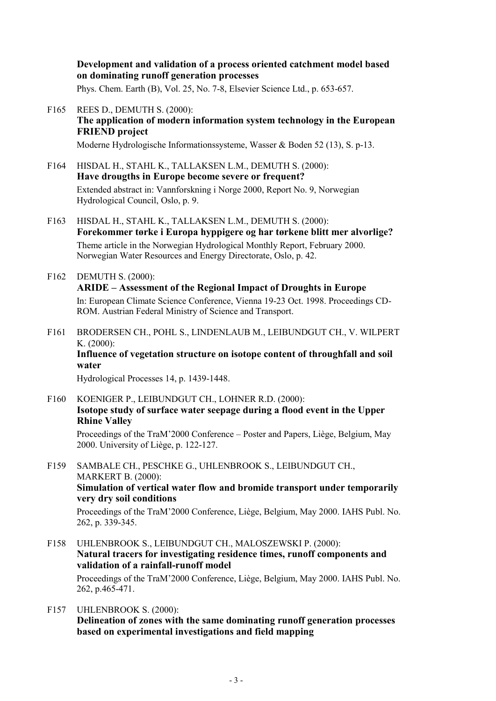### **Development and validation of a process oriented catchment model based on dominating runoff generation processes**

Phys. Chem. Earth (B), Vol. 25, No. 7-8, Elsevier Science Ltd., p. 653-657.

- F165 REES D., DEMUTH S. (2000): **The application of modern information system technology in the European FRIEND project** 
	- Moderne Hydrologische Informationssysteme, Wasser & Boden 52 (13), S. p-13.
- F164 HISDAL H., STAHL K., TALLAKSEN L.M., DEMUTH S. (2000): **Have drougths in Europe become severe or frequent?** Extended abstract in: Vannforskning i Norge 2000, Report No. 9, Norwegian Hydrological Council, Oslo, p. 9.
- F163 HISDAL H., STAHL K., TALLAKSEN L.M., DEMUTH S. (2000): **Forekommer tørke i Europa hyppigere og har tørkene blitt mer alvorlige?** Theme article in the Norwegian Hydrological Monthly Report, February 2000. Norwegian Water Resources and Energy Directorate, Oslo, p. 42.
- F162 DEMUTH S. (2000): **ARIDE – Assessment of the Regional Impact of Droughts in Europe** In: European Climate Science Conference, Vienna 19-23 Oct. 1998. Proceedings CD-ROM. Austrian Federal Ministry of Science and Transport.
- F161 BRODERSEN CH., POHL S., LINDENLAUB M., LEIBUNDGUT CH., V. WILPERT K. (2000): **Influence of vegetation structure on isotope content of throughfall and soil water**

Hydrological Processes 14, p. 1439-1448.

F160 KOENIGER P., LEIBUNDGUT CH., LOHNER R.D. (2000): **Isotope study of surface water seepage during a flood event in the Upper Rhine Valley**

Proceedings of the TraM'2000 Conference – Poster and Papers, Liège, Belgium, May 2000. University of Liège, p. 122-127.

F159 SAMBALE CH., PESCHKE G., UHLENBROOK S., LEIBUNDGUT CH., MARKERT B. (2000): **Simulation of vertical water flow and bromide transport under temporarily very dry soil conditions**  Proceedings of the TraM'2000 Conference, Liège, Belgium, May 2000. IAHS Publ. No. 262, p. 339-345.

- F158 UHLENBROOK S., LEIBUNDGUT CH., MALOSZEWSKI P. (2000): **Natural tracers for investigating residence times, runoff components and validation of a rainfall-runoff model**  Proceedings of the TraM'2000 Conference, Liège, Belgium, May 2000. IAHS Publ. No. 262, p.465-471.
- F157 UHLENBROOK S. (2000): **Delineation of zones with the same dominating runoff generation processes based on experimental investigations and field mapping**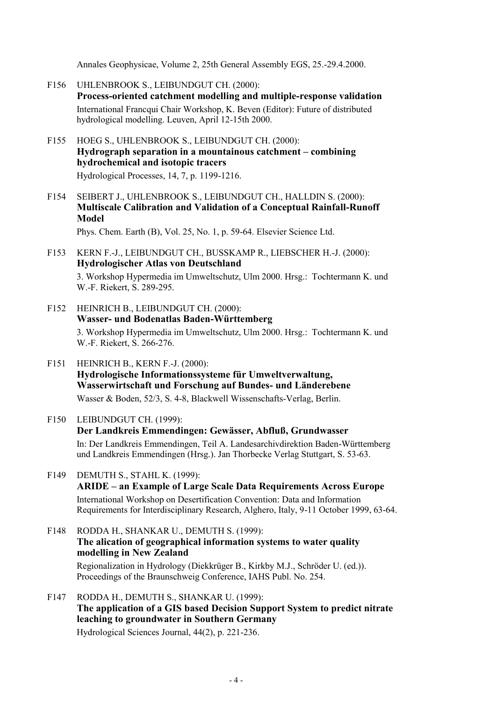Annales Geophysicae, Volume 2, 25th General Assembly EGS, 25.-29.4.2000.

- F156 UHLENBROOK S., LEIBUNDGUT CH. (2000): **Process-oriented catchment modelling and multiple-response validation** International Francqui Chair Workshop, K. Beven (Editor): Future of distributed hydrological modelling. Leuven, April 12-15th 2000.
- F155 HOEG S., UHLENBROOK S., LEIBUNDGUT CH. (2000): **Hydrograph separation in a mountainous catchment – combining hydrochemical and isotopic tracers**  Hydrological Processes, 14, 7, p. 1199-1216.
- F154 SEIBERT J., UHLENBROOK S., LEIBUNDGUT CH., HALLDIN S. (2000): **Multiscale Calibration and Validation of a Conceptual Rainfall-Runoff Model**

Phys. Chem. Earth (B), Vol. 25, No. 1, p. 59-64. Elsevier Science Ltd.

F153 KERN F.-J., LEIBUNDGUT CH., BUSSKAMP R., LIEBSCHER H.-J. (2000): **Hydrologischer Atlas von Deutschland**

3. Workshop Hypermedia im Umweltschutz, Ulm 2000. Hrsg.: Tochtermann K. und W.-F. Riekert, S. 289-295.

- F152 HEINRICH B., LEIBUNDGUT CH. (2000): **Wasser- und Bodenatlas Baden-Württemberg** 3. Workshop Hypermedia im Umweltschutz, Ulm 2000. Hrsg.: Tochtermann K. und W.-F. Riekert, S. 266-276.
- F151 HEINRICH B., KERN F.-J. (2000): **Hydrologische Informationssysteme für Umweltverwaltung, Wasserwirtschaft und Forschung auf Bundes- und Länderebene** Wasser & Boden, 52/3, S. 4-8, Blackwell Wissenschafts-Verlag, Berlin.
- F150 LEIBUNDGUT CH. (1999):

#### **Der Landkreis Emmendingen: Gewässer, Abfluß, Grundwasser**

In: Der Landkreis Emmendingen, Teil A. Landesarchivdirektion Baden-Württemberg und Landkreis Emmendingen (Hrsg.). Jan Thorbecke Verlag Stuttgart, S. 53-63.

- F149 DEMUTH S., STAHL K. (1999): **ARIDE – an Example of Large Scale Data Requirements Across Europe** International Workshop on Desertification Convention: Data and Information Requirements for Interdisciplinary Research, Alghero, Italy, 9-11 October 1999, 63-64.
- F148 RODDA H., SHANKAR U., DEMUTH S. (1999): **The alication of geographical information systems to water quality modelling in New Zealand** Regionalization in Hydrology (Diekkrüger B., Kirkby M.J., Schröder U. (ed.)). Proceedings of the Braunschweig Conference, IAHS Publ. No. 254.
- F147 RODDA H., DEMUTH S., SHANKAR U. (1999): **The application of a GIS based Decision Support System to predict nitrate leaching to groundwater in Southern Germany**

Hydrological Sciences Journal, 44(2), p. 221-236.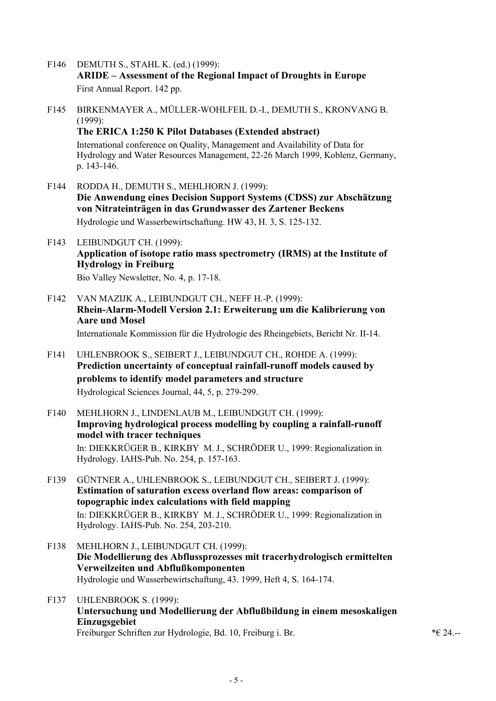- F146 DEMUTH S., STAHL K. (ed.) (1999): **ARIDE – Assessment of the Regional Impact of Droughts in Europe** First Annual Report. 142 pp.
- F145 BIRKENMAYER A., MÜLLER-WOHLFEIL D.-I., DEMUTH S., KRONVANG B. (1999): **The ERICA 1:250 K Pilot Databases (Extended abstract)** International conference on Quality, Management and Availability of Data for Hydrology and Water Resources Management, 22-26 March 1999, Koblenz, Germany, p. 143-146.
- F144 RODDA H., DEMUTH S., MEHLHORN J. (1999): **Die Anwendung eines Decision Support Systems (CDSS) zur Abschätzung von Nitrateinträgen in das Grundwasser des Zartener Beckens** Hydrologie und Wasserbewirtschaftung. HW 43, H. 3, S. 125-132.
- F143 LEIBUNDGUT CH. (1999): **Application of isotope ratio mass spectrometry (IRMS) at the Institute of Hydrology in Freiburg** Bio Valley Newsletter, No. 4, p. 17-18.
- F142 VAN MAZIJK A., LEIBUNDGUT CH., NEFF H.-P. (1999): **Rhein-Alarm-Modell Version 2.1: Erweiterung um die Kalibrierung von Aare und Mosel** Internationale Kommission für die Hydrologie des Rheingebiets, Bericht Nr. II-14.
- F141 UHLENBROOK S., SEIBERT J., LEIBUNDGUT CH., ROHDE A. (1999): **Prediction uncertainty of conceptual rainfall-runoff models caused by problems to identify model parameters and structure** Hydrological Sciences Journal, 44, 5, p. 279-299.
- F140 MEHLHORN J., LINDENLAUB M., LEIBUNDGUT CH. (1999): **Improving hydrological process modelling by coupling a rainfall-runoff model with tracer techniques** In: DIEKKRÜGER B., KIRKBY M. J., SCHRÖDER U., 1999: Regionalization in Hydrology. IAHS-Pub. No. 254, p. 157-163.
- F139 GÜNTNER A., UHLENBROOK S., LEIBUNDGUT CH., SEIBERT J. (1999): **Estimation of saturation excess overland flow areas: comparison of topographic index calculations with field mapping** In: DIEKKRÜGER B., KIRKBY M. J., SCHRÖDER U., 1999: Regionalization in Hydrology. IAHS-Pub. No. 254, 203-210.
- F138 MEHLHORN J., LEIBUNDGUT CH. (1999): **Die Modellierung des Abflussprozesses mit tracerhydrologisch ermittelten Verweilzeiten und Abflußkomponenten** Hydrologie und Wasserbewirtschaftung, 43. 1999, Heft 4, S. 164-174.
- F137 UHLENBROOK S. (1999): **Untersuchung und Modellierung der Abflußbildung in einem mesoskaligen Einzugsgebiet** Freiburger Schriften zur Hydrologie, Bd. 10, Freiburg i. Br.  $* \in 24$ .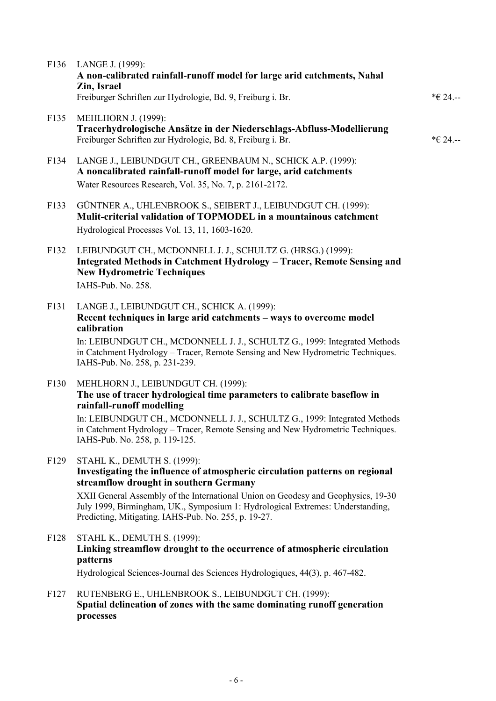|                  | F136 LANGE J. (1999):<br>A non-calibrated rainfall-runoff model for large arid catchments, Nahal<br>Zin, Israel<br>Freiburger Schriften zur Hydrologie, Bd. 9, Freiburg i. Br.                                                                                                                                                                                                      | *€ 24.-- |
|------------------|-------------------------------------------------------------------------------------------------------------------------------------------------------------------------------------------------------------------------------------------------------------------------------------------------------------------------------------------------------------------------------------|----------|
| F <sub>135</sub> | <b>MEHLHORN J. (1999):</b><br>Tracerhydrologische Ansätze in der Niederschlags-Abfluss-Modellierung<br>Freiburger Schriften zur Hydrologie, Bd. 8, Freiburg i. Br.                                                                                                                                                                                                                  | *€ 24.-- |
| F134             | LANGE J., LEIBUNDGUT CH., GREENBAUM N., SCHICK A.P. (1999):<br>A noncalibrated rainfall-runoff model for large, arid catchments<br>Water Resources Research, Vol. 35, No. 7, p. 2161-2172.                                                                                                                                                                                          |          |
| F133             | GÜNTNER A., UHLENBROOK S., SEIBERT J., LEIBUNDGUT CH. (1999):<br>Mulit-criterial validation of TOPMODEL in a mountainous catchment<br>Hydrological Processes Vol. 13, 11, 1603-1620.                                                                                                                                                                                                |          |
| F132             | LEIBUNDGUT CH., MCDONNELL J. J., SCHULTZ G. (HRSG.) (1999):<br>Integrated Methods in Catchment Hydrology - Tracer, Remote Sensing and<br><b>New Hydrometric Techniques</b><br>IAHS-Pub. No. 258.                                                                                                                                                                                    |          |
| F131             | LANGE J., LEIBUNDGUT CH., SCHICK A. (1999):<br>Recent techniques in large arid catchments – ways to overcome model<br>calibration<br>In: LEIBUNDGUT CH., MCDONNELL J. J., SCHULTZ G., 1999: Integrated Methods<br>in Catchment Hydrology - Tracer, Remote Sensing and New Hydrometric Techniques.<br>IAHS-Pub. No. 258, p. 231-239.                                                 |          |
| F130             | MEHLHORN J., LEIBUNDGUT CH. (1999):<br>The use of tracer hydrological time parameters to calibrate baseflow in<br>rainfall-runoff modelling<br>In: LEIBUNDGUT CH., MCDONNELL J. J., SCHULTZ G., 1999: Integrated Methods<br>in Catchment Hydrology - Tracer, Remote Sensing and New Hydrometric Techniques.<br>IAHS-Pub. No. 258, p. 119-125.                                       |          |
| F129             | STAHL K., DEMUTH S. (1999):<br>Investigating the influence of atmospheric circulation patterns on regional<br>streamflow drought in southern Germany<br>XXII General Assembly of the International Union on Geodesy and Geophysics, 19-30<br>July 1999, Birmingham, UK., Symposium 1: Hydrological Extremes: Understanding,<br>Predicting, Mitigating. IAHS-Pub. No. 255, p. 19-27. |          |
| F128             | STAHL K., DEMUTH S. (1999):<br>Linking streamflow drought to the occurrence of atmospheric circulation<br>patterns<br>Hydrological Sciences-Journal des Sciences Hydrologiques, 44(3), p. 467-482.                                                                                                                                                                                  |          |
| F127             | RUTENBERG E., UHLENBROOK S., LEIBUNDGUT CH. (1999):<br>Spatial delineation of zones with the same dominating runoff generation<br>processes                                                                                                                                                                                                                                         |          |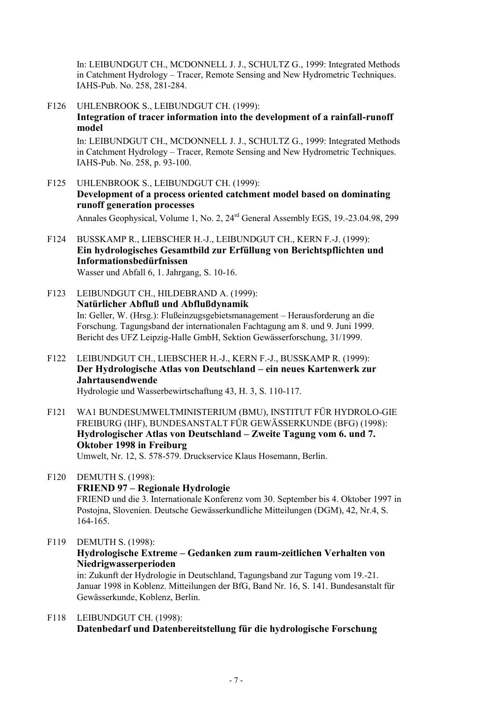In: LEIBUNDGUT CH., MCDONNELL J. J., SCHULTZ G., 1999: Integrated Methods in Catchment Hydrology – Tracer, Remote Sensing and New Hydrometric Techniques. IAHS-Pub. No. 258, 281-284.

F126 UHLENBROOK S., LEIBUNDGUT CH. (1999): **Integration of tracer information into the development of a rainfall-runoff model**

In: LEIBUNDGUT CH., MCDONNELL J. J., SCHULTZ G., 1999: Integrated Methods in Catchment Hydrology – Tracer, Remote Sensing and New Hydrometric Techniques. IAHS-Pub. No. 258, p. 93-100.

F125 UHLENBROOK S., LEIBUNDGUT CH. (1999): **Development of a process oriented catchment model based on dominating runoff generation processes**

Annales Geophysical, Volume 1, No. 2, 24rd General Assembly EGS, 19.-23.04.98, 299

- F124 BUSSKAMP R., LIEBSCHER H.-J., LEIBUNDGUT CH., KERN F.-J. (1999): **Ein hydrologisches Gesamtbild zur Erfüllung von Berichtspflichten und Informationsbedürfnissen** Wasser und Abfall 6, 1. Jahrgang, S. 10-16.
- F123 LEIBUNDGUT CH., HILDEBRAND A. (1999): **Natürlicher Abfluß und Abflußdynamik** In: Geller, W. (Hrsg.): Flußeinzugsgebietsmanagement – Herausforderung an die Forschung. Tagungsband der internationalen Fachtagung am 8. und 9. Juni 1999. Bericht des UFZ Leipzig-Halle GmbH, Sektion Gewässerforschung, 31/1999.
- F122 LEIBUNDGUT CH., LIEBSCHER H.-J., KERN F.-J., BUSSKAMP R. (1999): **Der Hydrologische Atlas von Deutschland – ein neues Kartenwerk zur Jahrtausendwende**

Hydrologie und Wasserbewirtschaftung 43, H. 3, S. 110-117.

F121 WA1 BUNDESUMWELTMINISTERIUM (BMU), INSTITUT FÜR HYDROLO-GIE FREIBURG (IHF), BUNDESANSTALT FÜR GEWÄSSERKUNDE (BFG) (1998): **Hydrologischer Atlas von Deutschland – Zweite Tagung vom 6. und 7. Oktober 1998 in Freiburg**

Umwelt, Nr. 12, S. 578-579. Druckservice Klaus Hosemann, Berlin.

- F120 DEMUTH S. (1998): **FRIEND 97 – Regionale Hydrologie** FRIEND und die 3. Internationale Konferenz vom 30. September bis 4. Oktober 1997 in Postojna, Slovenien. Deutsche Gewässerkundliche Mitteilungen (DGM), 42, Nr.4, S. 164-165.
- F119 DEMUTH S. (1998): **Hydrologische Extreme – Gedanken zum raum-zeitlichen Verhalten von Niedrigwasserperioden** in: Zukunft der Hydrologie in Deutschland, Tagungsband zur Tagung vom 19.-21.

Januar 1998 in Koblenz. Mitteilungen der BfG, Band Nr. 16, S. 141. Bundesanstalt für Gewässerkunde, Koblenz, Berlin.

F118 LEIBUNDGUT CH. (1998): **Datenbedarf und Datenbereitstellung für die hydrologische Forschung**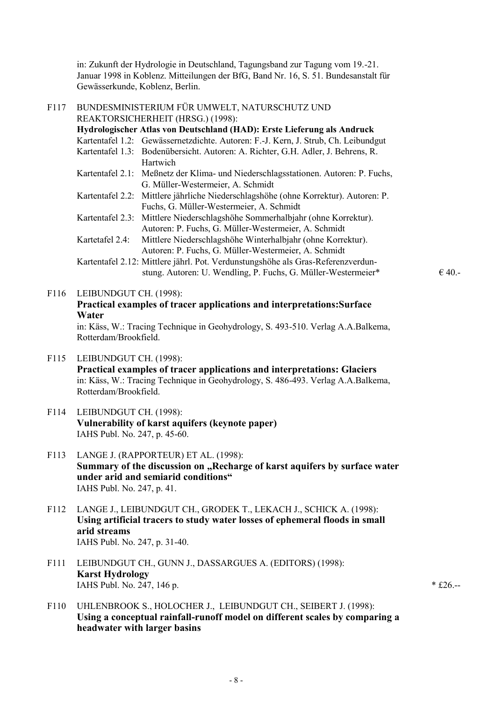in: Zukunft der Hydrologie in Deutschland, Tagungsband zur Tagung vom 19.-21. Januar 1998 in Koblenz. Mitteilungen der BfG, Band Nr. 16, S. 51. Bundesanstalt für Gewässerkunde, Koblenz, Berlin.

| F117 | BUNDESMINISTERIUM FÜR UMWELT, NATURSCHUTZ UND                                                                                                                                                                                                     |            |
|------|---------------------------------------------------------------------------------------------------------------------------------------------------------------------------------------------------------------------------------------------------|------------|
|      | REAKTORSICHERHEIT (HRSG.) (1998):                                                                                                                                                                                                                 |            |
|      | Hydrologischer Atlas von Deutschland (HAD): Erste Lieferung als Andruck                                                                                                                                                                           |            |
|      | Kartentafel 1.2: Gewässernetzdichte. Autoren: F.-J. Kern, J. Strub, Ch. Leibundgut<br>Kartentafel 1.3: Bodenübersicht. Autoren: A. Richter, G.H. Adler, J. Behrens, R.                                                                            |            |
|      | Hartwich                                                                                                                                                                                                                                          |            |
|      | Kartentafel 2.1: Meßnetz der Klima- und Niederschlagsstationen. Autoren: P. Fuchs,<br>G. Müller-Westermeier, A. Schmidt                                                                                                                           |            |
|      | Kartentafel 2.2: Mittlere jährliche Niederschlagshöhe (ohne Korrektur). Autoren: P.<br>Fuchs, G. Müller-Westermeier, A. Schmidt                                                                                                                   |            |
|      | Kartentafel 2.3: Mittlere Niederschlagshöhe Sommerhalbjahr (ohne Korrektur).<br>Autoren: P. Fuchs, G. Müller-Westermeier, A. Schmidt                                                                                                              |            |
|      | Mittlere Niederschlagshöhe Winterhalbjahr (ohne Korrektur).<br>Kartetafel 2.4:<br>Autoren: P. Fuchs, G. Müller-Westermeier, A. Schmidt                                                                                                            |            |
|      | Kartentafel 2.12: Mittlere jährl. Pot. Verdunstungshöhe als Gras-Referenzverdun-<br>stung. Autoren: U. Wendling, P. Fuchs, G. Müller-Westermeier*                                                                                                 | €40.       |
| F116 | LEIBUNDGUT CH. (1998):<br>Practical examples of tracer applications and interpretations: Surface<br>Water                                                                                                                                         |            |
|      | in: Käss, W.: Tracing Technique in Geohydrology, S. 493-510. Verlag A.A.Balkema,<br>Rotterdam/Brookfield.                                                                                                                                         |            |
| F115 | LEIBUNDGUT CH. (1998):<br>Practical examples of tracer applications and interpretations: Glaciers<br>in: Käss, W.: Tracing Technique in Geohydrology, S. 486-493. Verlag A.A.Balkema,<br>Rotterdam/Brookfield.                                    |            |
| F114 | LEIBUNDGUT CH. (1998):<br>Vulnerability of karst aquifers (keynote paper)<br>IAHS Publ. No. 247, p. 45-60.                                                                                                                                        |            |
| F113 | LANGE J. (RAPPORTEUR) ET AL. (1998):<br>Summary of the discussion on "Recharge of karst aquifers by surface water<br>under arid and semiarid conditions"<br>IAHS Publ. No. 247, p. 41.                                                            |            |
| F112 | LANGE J., LEIBUNDGUT CH., GRODEK T., LEKACH J., SCHICK A. (1998):<br>Using artificial tracers to study water losses of ephemeral floods in small<br>arid streams<br>IAHS Publ. No. 247, p. 31-40.                                                 |            |
| F111 | LEIBUNDGUT CH., GUNN J., DASSARGUES A. (EDITORS) (1998):<br><b>Karst Hydrology</b><br>IAHS Publ. No. 247, 146 p.                                                                                                                                  | $*$ £26.-- |
| F110 | UHLENBROOK S., HOLOCHER J., LEIBUNDGUT CH., SEIBERT J. (1998):<br>$\epsilon$ and $\epsilon$ and $\epsilon$ and $\epsilon$ and $\epsilon$ and $\epsilon$ and $\epsilon$ and $\epsilon$ and $\epsilon$ and $\epsilon$ and $\epsilon$ and $\epsilon$ |            |

## **Using a conceptual rainfall-runoff model on different scales by comparing a headwater with larger basins**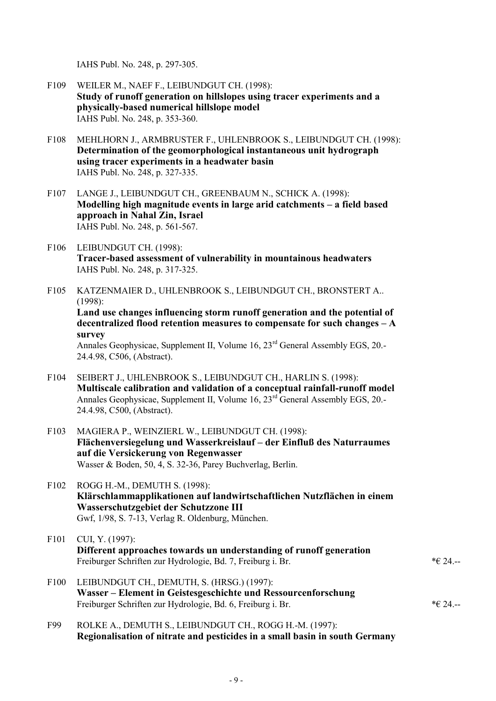IAHS Publ. No. 248, p. 297-305.

- F109 WEILER M., NAEF F., LEIBUNDGUT CH. (1998): **Study of runoff generation on hillslopes using tracer experiments and a physically-based numerical hillslope model** IAHS Publ. No. 248, p. 353-360.
- F108 MEHLHORN J., ARMBRUSTER F., UHLENBROOK S., LEIBUNDGUT CH. (1998): **Determination of the geomorphological instantaneous unit hydrograph using tracer experiments in a headwater basin** IAHS Publ. No. 248, p. 327-335.
- F107 LANGE J., LEIBUNDGUT CH., GREENBAUM N., SCHICK A. (1998): **Modelling high magnitude events in large arid catchments – a field based approach in Nahal Zin, Israel** IAHS Publ. No. 248, p. 561-567.
- F106 LEIBUNDGUT CH. (1998): **Tracer-based assessment of vulnerability in mountainous headwaters** IAHS Publ. No. 248, p. 317-325.
- F105 KATZENMAIER D., UHLENBROOK S., LEIBUNDGUT CH., BRONSTERT A.. (1998): **Land use changes influencing storm runoff generation and the potential of decentralized flood retention measures to compensate for such changes – A survey** Annales Geophysicae, Supplement II, Volume 16, 23<sup>rd</sup> General Assembly EGS, 20.-24.4.98, C506, (Abstract).
- F104 SEIBERT J., UHLENBROOK S., LEIBUNDGUT CH., HARLIN S. (1998): **Multiscale calibration and validation of a conceptual rainfall-runoff model** Annales Geophysicae, Supplement II, Volume 16, 23<sup>rd</sup> General Assembly EGS, 20.-24.4.98, C500, (Abstract).
- F103 MAGIERA P., WEINZIERL W., LEIBUNDGUT CH. (1998): **Flächenversiegelung und Wasserkreislauf – der Einfluß des Naturraumes auf die Versickerung von Regenwasser** Wasser & Boden, 50, 4, S. 32-36, Parey Buchverlag, Berlin.
- F102 ROGG H.-M., DEMUTH S. (1998): **Klärschlammapplikationen auf landwirtschaftlichen Nutzflächen in einem Wasserschutzgebiet der Schutzzone III** Gwf, 1/98, S. 7-13, Verlag R. Oldenburg, München.
- F101 CUI, Y. (1997): **Different approaches towards un understanding of runoff generation** Freiburger Schriften zur Hydrologie, Bd. 7, Freiburg i. Br.  $* \in 24$ .
- F100 LEIBUNDGUT CH., DEMUTH, S. (HRSG.) (1997): **Wasser – Element in Geistesgeschichte und Ressourcenforschung** Freiburger Schriften zur Hydrologie, Bd. 6, Freiburg i. Br. \*€ 24.--
- F99 ROLKE A., DEMUTH S., LEIBUNDGUT CH., ROGG H.-M. (1997): **Regionalisation of nitrate and pesticides in a small basin in south Germany**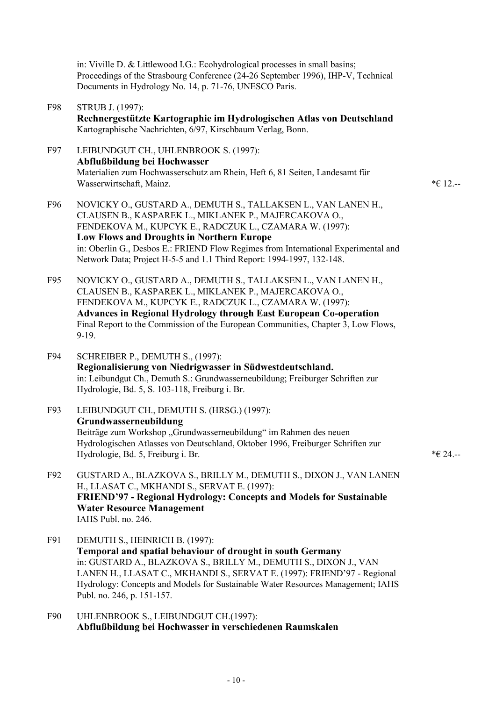in: Viville D. & Littlewood I.G.: Ecohydrological processes in small basins; Proceedings of the Strasbourg Conference (24-26 September 1996), IHP-V, Technical Documents in Hydrology No. 14, p. 71-76, UNESCO Paris.

- F98 STRUB J. (1997): **Rechnergestützte Kartographie im Hydrologischen Atlas von Deutschland** Kartographische Nachrichten, 6/97, Kirschbaum Verlag, Bonn.
- F97 LEIBUNDGUT CH., UHLENBROOK S. (1997): **Abflußbildung bei Hochwasser** Materialien zum Hochwasserschutz am Rhein, Heft 6, 81 Seiten, Landesamt für Wasserwirtschaft, Mainz.  $* \in 12$ .

- F96 NOVICKY O., GUSTARD A., DEMUTH S., TALLAKSEN L., VAN LANEN H., CLAUSEN B., KASPAREK L., MIKLANEK P., MAJERCAKOVA O., FENDEKOVA M., KUPCYK E., RADCZUK L., CZAMARA W. (1997): **Low Flows and Droughts in Northern Europe** in: Oberlin G., Desbos E.: FRIEND Flow Regimes from International Experimental and Network Data; Project H-5-5 and 1.1 Third Report: 1994-1997, 132-148.
- F95 NOVICKY O., GUSTARD A., DEMUTH S., TALLAKSEN L., VAN LANEN H., CLAUSEN B., KASPAREK L., MIKLANEK P., MAJERCAKOVA O., FENDEKOVA M., KUPCYK E., RADCZUK L., CZAMARA W. (1997): **Advances in Regional Hydrology through East European Co-operation** Final Report to the Commission of the European Communities, Chapter 3, Low Flows, 9-19.
- F94 SCHREIBER P., DEMUTH S., (1997): **Regionalisierung von Niedrigwasser in Südwestdeutschland.** in: Leibundgut Ch., Demuth S.: Grundwasserneubildung; Freiburger Schriften zur Hydrologie, Bd. 5, S. 103-118, Freiburg i. Br.
- F93 LEIBUNDGUT CH., DEMUTH S. (HRSG.) (1997): **Grundwasserneubildung** Beiträge zum Workshop "Grundwasserneubildung" im Rahmen des neuen Hydrologischen Atlasses von Deutschland, Oktober 1996, Freiburger Schriften zur Hydrologie, Bd. 5, Freiburg i. Br.  $* \in 24$ .
- F92 GUSTARD A., BLAZKOVA S., BRILLY M., DEMUTH S., DIXON J., VAN LANEN H., LLASAT C., MKHANDI S., SERVAT E. (1997): **FRIEND'97 - Regional Hydrology: Concepts and Models for Sustainable Water Resource Management** IAHS Publ. no. 246.
- F91 DEMUTH S., HEINRICH B. (1997): **Temporal and spatial behaviour of drought in south Germany** in: GUSTARD A., BLAZKOVA S., BRILLY M., DEMUTH S., DIXON J., VAN LANEN H., LLASAT C., MKHANDI S., SERVAT E. (1997): FRIEND'97 - Regional Hydrology: Concepts and Models for Sustainable Water Resources Management; IAHS Publ. no. 246, p. 151-157.
- F90 UHLENBROOK S., LEIBUNDGUT CH.(1997): **Abflußbildung bei Hochwasser in verschiedenen Raumskalen**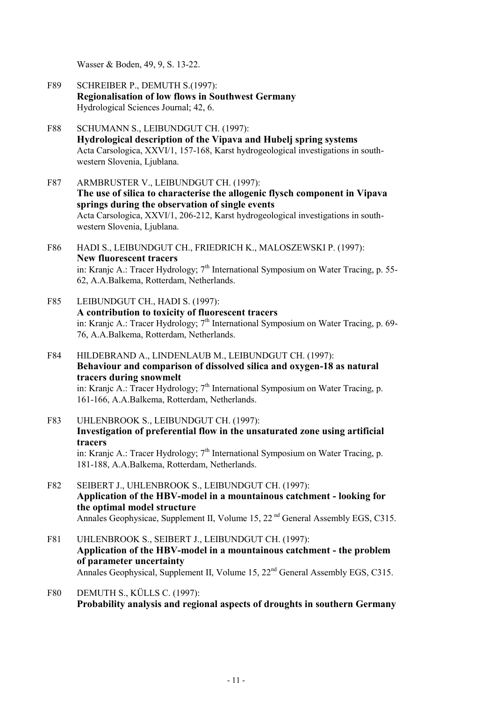Wasser & Boden, 49, 9, S. 13-22.

- F89 SCHREIBER P., DEMUTH S.(1997): **Regionalisation of low flows in Southwest Germany** Hydrological Sciences Journal; 42, 6.
- F88 SCHUMANN S., LEIBUNDGUT CH. (1997): **Hydrological description of the Vipava and Hubelj spring systems** Acta Carsologica, XXVI/1, 157-168, Karst hydrogeological investigations in southwestern Slovenia, Ljublana.
- F87 ARMBRUSTER V., LEIBUNDGUT CH. (1997): **The use of silica to characterise the allogenic flysch component in Vipava springs during the observation of single events** Acta Carsologica, XXVI/1, 206-212, Karst hydrogeological investigations in southwestern Slovenia, Ljublana.
- F86 HADI S., LEIBUNDGUT CH., FRIEDRICH K., MALOSZEWSKI P. (1997): **New fluorescent tracers** in: Kranjc A.: Tracer Hydrology;  $7<sup>th</sup>$  International Symposium on Water Tracing, p. 55-62, A.A.Balkema, Rotterdam, Netherlands.
- F85 LEIBUNDGUT CH., HADI S. (1997): **A contribution to toxicity of fluorescent tracers** in: Kranjc A.: Tracer Hydrology;  $7<sup>th</sup>$  International Symposium on Water Tracing, p. 69-76, A.A.Balkema, Rotterdam, Netherlands.
- F84 HILDEBRAND A., LINDENLAUB M., LEIBUNDGUT CH. (1997): **Behaviour and comparison of dissolved silica and oxygen-18 as natural tracers during snowmelt** in: Kranjc A.: Tracer Hydrology;  $7<sup>th</sup>$  International Symposium on Water Tracing, p. 161-166, A.A.Balkema, Rotterdam, Netherlands.
- F83 UHLENBROOK S., LEIBUNDGUT CH. (1997): **Investigation of preferential flow in the unsaturated zone using artificial tracers** in: Kranjc A.: Tracer Hydrology;  $7<sup>th</sup>$  International Symposium on Water Tracing, p. 181-188, A.A.Balkema, Rotterdam, Netherlands.
- F82 SEIBERT J., UHLENBROOK S., LEIBUNDGUT CH. (1997): **Application of the HBV-model in a mountainous catchment - looking for the optimal model structure** Annales Geophysicae, Supplement II, Volume 15, 22<sup>nd</sup> General Assembly EGS, C315.
- F81 UHLENBROOK S., SEIBERT J., LEIBUNDGUT CH. (1997): **Application of the HBV-model in a mountainous catchment - the problem of parameter uncertainty** Annales Geophysical, Supplement II, Volume 15, 22<sup>nd</sup> General Assembly EGS, C315.
- F80 DEMUTH S., KÜLLS C. (1997): **Probability analysis and regional aspects of droughts in southern Germany**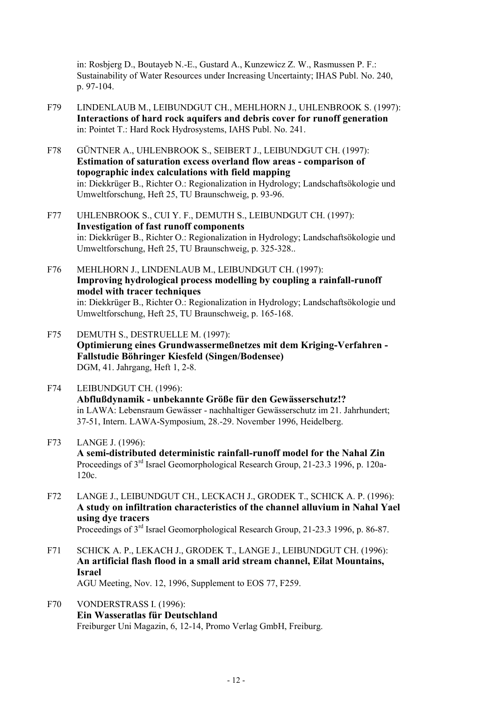in: Rosbjerg D., Boutayeb N.-E., Gustard A., Kunzewicz Z. W., Rasmussen P. F.: Sustainability of Water Resources under Increasing Uncertainty; IHAS Publ. No. 240, p. 97-104.

- F79 LINDENLAUB M., LEIBUNDGUT CH., MEHLHORN J., UHLENBROOK S. (1997): **Interactions of hard rock aquifers and debris cover for runoff generation** in: Pointet T.: Hard Rock Hydrosystems, IAHS Publ. No. 241.
- F78 GÜNTNER A., UHLENBROOK S., SEIBERT J., LEIBUNDGUT CH. (1997): **Estimation of saturation excess overland flow areas - comparison of topographic index calculations with field mapping** in: Diekkrüger B., Richter O.: Regionalization in Hydrology; Landschaftsökologie und Umweltforschung, Heft 25, TU Braunschweig, p. 93-96.
- F77 UHLENBROOK S., CUI Y. F., DEMUTH S., LEIBUNDGUT CH. (1997): **Investigation of fast runoff components** in: Diekkrüger B., Richter O.: Regionalization in Hydrology; Landschaftsökologie und Umweltforschung, Heft 25, TU Braunschweig, p. 325-328..
- F76 MEHLHORN J., LINDENLAUB M., LEIBUNDGUT CH. (1997): **Improving hydrological process modelling by coupling a rainfall-runoff model with tracer techniques** in: Diekkrüger B., Richter O.: Regionalization in Hydrology; Landschaftsökologie und Umweltforschung, Heft 25, TU Braunschweig, p. 165-168.
- F75 DEMUTH S., DESTRUELLE M. (1997): **Optimierung eines Grundwassermeßnetzes mit dem Kriging-Verfahren - Fallstudie Böhringer Kiesfeld (Singen/Bodensee)** DGM, 41. Jahrgang, Heft 1, 2-8.
- F74 LEIBUNDGUT CH. (1996): **Abflußdynamik - unbekannte Größe für den Gewässerschutz!?** in LAWA: Lebensraum Gewässer - nachhaltiger Gewässerschutz im 21. Jahrhundert; 37-51, Intern. LAWA-Symposium, 28.-29. November 1996, Heidelberg.
- F73 LANGE J. (1996): **A semi-distributed deterministic rainfall-runoff model for the Nahal Zin** Proceedings of 3rd Israel Geomorphological Research Group, 21-23.3 1996, p. 120a-120c.
- F72 LANGE J., LEIBUNDGUT CH., LECKACH J., GRODEK T., SCHICK A. P. (1996): **A study on infiltration characteristics of the channel alluvium in Nahal Yael using dye tracers** Proceedings of 3<sup>rd</sup> Israel Geomorphological Research Group, 21-23.3 1996, p. 86-87.
- F71 SCHICK A. P., LEKACH J., GRODEK T., LANGE J., LEIBUNDGUT CH. (1996): **An artificial flash flood in a small arid stream channel, Eilat Mountains, Israel** AGU Meeting, Nov. 12, 1996, Supplement to EOS 77, F259.
- F70 VONDERSTRASS I. (1996): **Ein Wasseratlas für Deutschland** Freiburger Uni Magazin, 6, 12-14, Promo Verlag GmbH, Freiburg.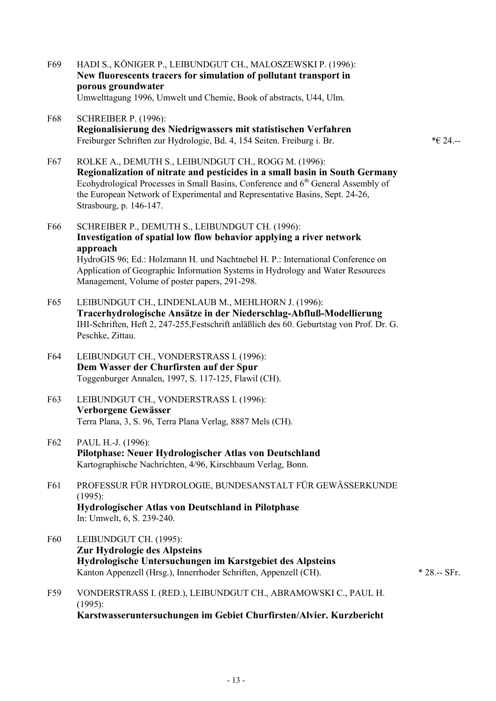- F69 HADI S., KÖNIGER P., LEIBUNDGUT CH., MALOSZEWSKI P. (1996): **New fluorescents tracers for simulation of pollutant transport in porous groundwater** Umwelttagung 1996, Umwelt und Chemie, Book of abstracts, U44, Ulm.
- F68 SCHREIBER P. (1996): **Regionalisierung des Niedrigwassers mit statistischen Verfahren** Freiburger Schriften zur Hydrologie, Bd. 4, 154 Seiten. Freiburg i. Br. \*€ 24.--

- F67 ROLKE A., DEMUTH S., LEIBUNDGUT CH., ROGG M. (1996): **Regionalization of nitrate and pesticides in a small basin in South Germany** Ecohydrological Processes in Small Basins, Conference and 6<sup>th</sup> General Assembly of the European Network of Experimental and Representative Basins, Sept. 24-26, Strasbourg, p. 146-147.
- F66 SCHREIBER P., DEMUTH S., LEIBUNDGUT CH. (1996): **Investigation of spatial low flow behavior applying a river network approach** HydroGIS 96; Ed.: Holzmann H. und Nachtnebel H. P.: International Conference on Application of Geographic Information Systems in Hydrology and Water Resources Management, Volume of poster papers, 291-298.
- F65 LEIBUNDGUT CH., LINDENLAUB M., MEHLHORN J. (1996): **Tracerhydrologische Ansätze in der Niederschlag-Abfluß-Modellierung** IHI-Schriften, Heft 2, 247-255,Festschrift anläßlich des 60. Geburtstag von Prof. Dr. G. Peschke, Zittau.
- F64 LEIBUNDGUT CH., VONDERSTRASS I. (1996): **Dem Wasser der Churfirsten auf der Spur** Toggenburger Annalen, 1997, S. 117-125, Flawil (CH).
- F63 LEIBUNDGUT CH., VONDERSTRASS I. (1996): **Verborgene Gewässer**  Terra Plana, 3, S. 96, Terra Plana Verlag, 8887 Mels (CH).
- F62 PAUL H.-J. (1996): **Pilotphase: Neuer Hydrologischer Atlas von Deutschland** Kartographische Nachrichten, 4/96, Kirschbaum Verlag, Bonn.
- F61 PROFESSUR FÜR HYDROLOGIE, BUNDESANSTALT FÜR GEWÄSSERKUNDE (1995): **Hydrologischer Atlas von Deutschland in Pilotphase** In: Umwelt, 6, S. 239-240.
- F60 LEIBUNDGUT CH. (1995): **Zur Hydrologie des Alpsteins Hydrologische Untersuchungen im Karstgebiet des Alpsteins** Kanton Appenzell (Hrsg.), Innerrhoder Schriften, Appenzell (CH). \* 28.-- SFr.
- F59 VONDERSTRASS I. (RED.), LEIBUNDGUT CH., ABRAMOWSKI C., PAUL H. (1995): **Karstwasseruntersuchungen im Gebiet Churfirsten/Alvier. Kurzbericht**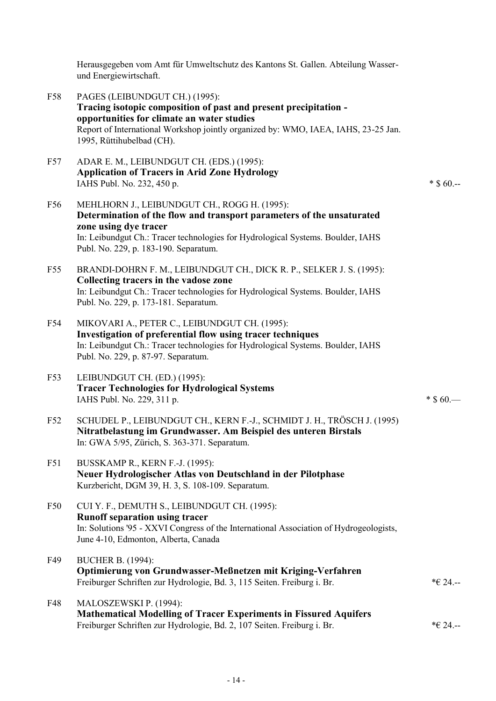Herausgegeben vom Amt für Umweltschutz des Kantons St. Gallen. Abteilung Wasserund Energiewirtschaft.

- F58 PAGES (LEIBUNDGUT CH.) (1995): **Tracing isotopic composition of past and present precipitation opportunities for climate an water studies** Report of International Workshop jointly organized by: WMO, IAEA, IAHS, 23-25 Jan. 1995, Rüttihubelbad (CH).
- F57 ADAR E. M., LEIBUNDGUT CH. (EDS.) (1995): **Application of Tracers in Arid Zone Hydrology** IAHS Publ. No. 232, 450 p.  $*$  \$ 60.--
- F56 MEHLHORN J., LEIBUNDGUT CH., ROGG H. (1995): **Determination of the flow and transport parameters of the unsaturated zone using dye tracer** In: Leibundgut Ch.: Tracer technologies for Hydrological Systems. Boulder, IAHS Publ. No. 229, p. 183-190. Separatum.
- F55 BRANDI-DOHRN F. M., LEIBUNDGUT CH., DICK R. P., SELKER J. S. (1995): **Collecting tracers in the vadose zone** In: Leibundgut Ch.: Tracer technologies for Hydrological Systems. Boulder, IAHS Publ. No. 229, p. 173-181. Separatum.
- F54 MIKOVARI A., PETER C., LEIBUNDGUT CH. (1995): **Investigation of preferential flow using tracer techniques** In: Leibundgut Ch.: Tracer technologies for Hydrological Systems. Boulder, IAHS Publ. No. 229, p. 87-97. Separatum.
- F53 LEIBUNDGUT CH. (ED.) (1995): **Tracer Technologies for Hydrological Systems** IAHS Publ. No. 229, 311 p.  $*$  \$ 60.—
- F52 SCHUDEL P., LEIBUNDGUT CH., KERN F.-J., SCHMIDT J. H., TRÖSCH J. (1995) **Nitratbelastung im Grundwasser. Am Beispiel des unteren Birstals** In: GWA 5/95, Zürich, S. 363-371. Separatum.
- F51 BUSSKAMP R., KERN F.-J. (1995): **Neuer Hydrologischer Atlas von Deutschland in der Pilotphase** Kurzbericht, DGM 39, H. 3, S. 108-109. Separatum.
- F50 CUI Y. F., DEMUTH S., LEIBUNDGUT CH. (1995): **Runoff separation using tracer** In: Solutions '95 - XXVI Congress of the International Association of Hydrogeologists, June 4-10, Edmonton, Alberta, Canada
- F49 BUCHER B. (1994): **Optimierung von Grundwasser-Meßnetzen mit Kriging-Verfahren** Freiburger Schriften zur Hydrologie, Bd. 3, 115 Seiten. Freiburg i. Br. \*€ 24.--
- F48 MALOSZEWSKI P. (1994): **Mathematical Modelling of Tracer Experiments in Fissured Aquifers** Freiburger Schriften zur Hydrologie, Bd. 2, 107 Seiten. Freiburg i. Br.  $* \in 24$ .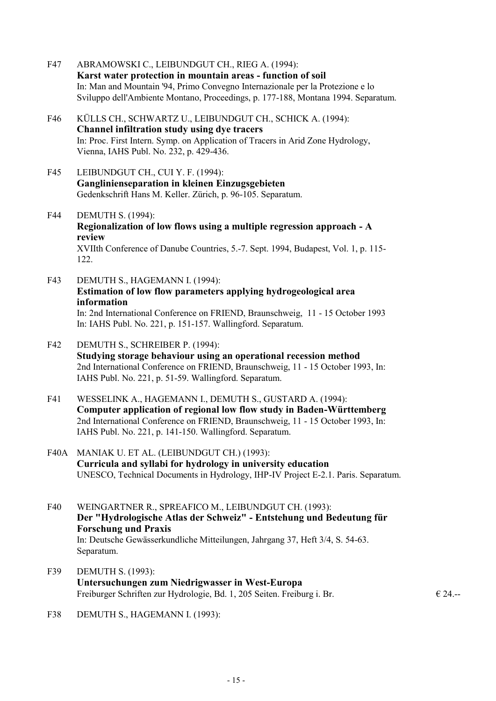- F47 ABRAMOWSKI C., LEIBUNDGUT CH., RIEG A. (1994): **Karst water protection in mountain areas - function of soil** In: Man and Mountain '94, Primo Convegno Internazionale per la Protezione e lo Sviluppo dell'Ambiente Montano, Proceedings, p. 177-188, Montana 1994. Separatum.
- F46 KÜLLS CH., SCHWARTZ U., LEIBUNDGUT CH., SCHICK A. (1994): **Channel infiltration study using dye tracers** In: Proc. First Intern. Symp. on Application of Tracers in Arid Zone Hydrology, Vienna, IAHS Publ. No. 232, p. 429-436.
- F45 LEIBUNDGUT CH., CUI Y. F. (1994): **Ganglinienseparation in kleinen Einzugsgebieten** Gedenkschrift Hans M. Keller. Zürich, p. 96-105. Separatum.
- F44 DEMUTH S. (1994): **Regionalization of low flows using a multiple regression approach - A review** XVIIth Conference of Danube Countries, 5.-7. Sept. 1994, Budapest, Vol. 1, p. 115- 122.
- F43 DEMUTH S., HAGEMANN I. (1994): **Estimation of low flow parameters applying hydrogeological area information** In: 2nd International Conference on FRIEND, Braunschweig, 11 - 15 October 1993 In: IAHS Publ. No. 221, p. 151-157. Wallingford. Separatum.
- F42 DEMUTH S., SCHREIBER P. (1994): **Studying storage behaviour using an operational recession method** 2nd International Conference on FRIEND, Braunschweig, 11 - 15 October 1993, In: IAHS Publ. No. 221, p. 51-59. Wallingford. Separatum.
- F41 WESSELINK A., HAGEMANN I., DEMUTH S., GUSTARD A. (1994): **Computer application of regional low flow study in Baden-Württemberg** 2nd International Conference on FRIEND, Braunschweig, 11 - 15 October 1993, In: IAHS Publ. No. 221, p. 141-150. Wallingford. Separatum.
- F40A MANIAK U. ET AL. (LEIBUNDGUT CH.) (1993): **Curricula and syllabi for hydrology in university education** UNESCO, Technical Documents in Hydrology, IHP-IV Project E-2.1. Paris. Separatum.
- F40 WEINGARTNER R., SPREAFICO M., LEIBUNDGUT CH. (1993): **Der "Hydrologische Atlas der Schweiz" - Entstehung und Bedeutung für Forschung und Praxis** In: Deutsche Gewässerkundliche Mitteilungen, Jahrgang 37, Heft 3/4, S. 54-63. Separatum.
- F39 DEMUTH S. (1993): **Untersuchungen zum Niedrigwasser in West-Europa** Freiburger Schriften zur Hydrologie, Bd. 1, 205 Seiten. Freiburg i. Br.  $\epsilon$  24.--

F38 DEMUTH S., HAGEMANN I. (1993):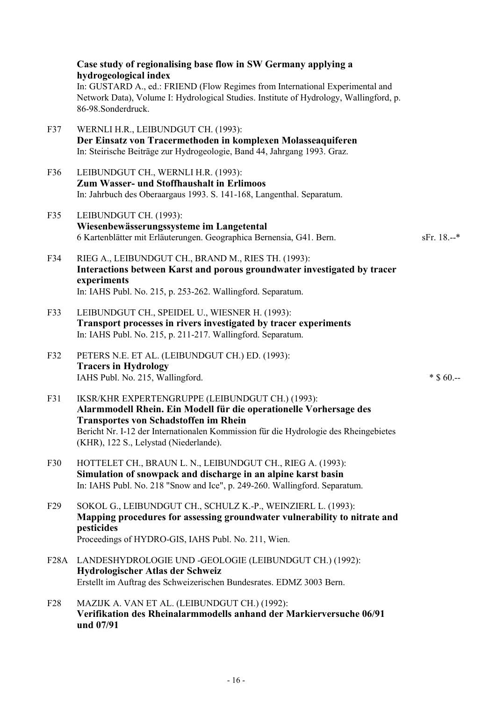|                   | Case study of regionalising base flow in SW Germany applying a<br>hydrogeological index<br>In: GUSTARD A., ed.: FRIEND (Flow Regimes from International Experimental and<br>Network Data), Volume I: Hydrological Studies. Institute of Hydrology, Wallingford, p.<br>86-98.Sonderdruck.                 |               |
|-------------------|----------------------------------------------------------------------------------------------------------------------------------------------------------------------------------------------------------------------------------------------------------------------------------------------------------|---------------|
| F37               | WERNLI H.R., LEIBUNDGUT CH. (1993):<br>Der Einsatz von Tracermethoden in komplexen Molasseaquiferen<br>In: Steirische Beiträge zur Hydrogeologie, Band 44, Jahrgang 1993. Graz.                                                                                                                          |               |
| F36               | LEIBUNDGUT CH., WERNLI H.R. (1993):<br>Zum Wasser- und Stoffhaushalt in Erlimoos<br>In: Jahrbuch des Oberaargaus 1993. S. 141-168, Langenthal. Separatum.                                                                                                                                                |               |
| F35               | LEIBUNDGUT CH. (1993):<br>Wiesenbewässerungssysteme im Langetental<br>6 Kartenblätter mit Erläuterungen. Geographica Bernensia, G41. Bern.                                                                                                                                                               | $sFr. 18. -*$ |
| F34               | RIEG A., LEIBUNDGUT CH., BRAND M., RIES TH. (1993):<br>Interactions between Karst and porous groundwater investigated by tracer<br>experiments<br>In: IAHS Publ. No. 215, p. 253-262. Wallingford. Separatum.                                                                                            |               |
| F33               | LEIBUNDGUT CH., SPEIDEL U., WIESNER H. (1993):<br>Transport processes in rivers investigated by tracer experiments<br>In: IAHS Publ. No. 215, p. 211-217. Wallingford. Separatum.                                                                                                                        |               |
| F32               | PETERS N.E. ET AL. (LEIBUNDGUT CH.) ED. (1993):<br><b>Tracers in Hydrology</b><br>IAHS Publ. No. 215, Wallingford.                                                                                                                                                                                       | $*$ \$ 60.--  |
| F31               | IKSR/KHR EXPERTENGRUPPE (LEIBUNDGUT CH.) (1993):<br>Alarmmodell Rhein. Ein Modell für die operationelle Vorhersage des<br><b>Transportes von Schadstoffen im Rhein</b><br>Bericht Nr. I-12 der Internationalen Kommission für die Hydrologie des Rheingebietes<br>(KHR), 122 S., Lelystad (Niederlande). |               |
| F30               | HOTTELET CH., BRAUN L. N., LEIBUNDGUT CH., RIEG A. (1993):<br>Simulation of snowpack and discharge in an alpine karst basin<br>In: IAHS Publ. No. 218 "Snow and Ice", p. 249-260. Wallingford. Separatum.                                                                                                |               |
| F29               | SOKOL G., LEIBUNDGUT CH., SCHULZ K.-P., WEINZIERL L. (1993):<br>Mapping procedures for assessing groundwater vulnerability to nitrate and<br>pesticides<br>Proceedings of HYDRO-GIS, IAHS Publ. No. 211, Wien.                                                                                           |               |
| F <sub>28</sub> A | LANDESHYDROLOGIE UND -GEOLOGIE (LEIBUNDGUT CH.) (1992):<br>Hydrologischer Atlas der Schweiz<br>Erstellt im Auftrag des Schweizerischen Bundesrates. EDMZ 3003 Bern.                                                                                                                                      |               |
| F <sub>28</sub>   | MAZIJK A. VAN ET AL. (LEIBUNDGUT CH.) (1992):<br>Verifikation des Rheinalarmmodells anhand der Markierversuche 06/91<br>und 07/91                                                                                                                                                                        |               |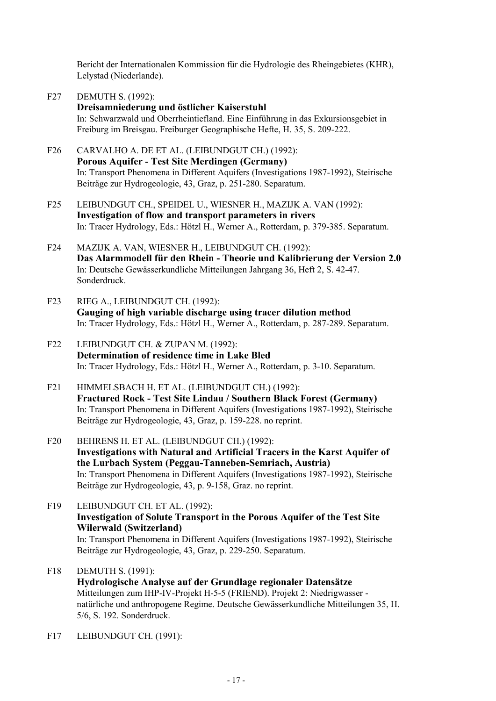Bericht der Internationalen Kommission für die Hydrologie des Rheingebietes (KHR), Lelystad (Niederlande).

- F27 DEMUTH S. (1992): **Dreisamniederung und östlicher Kaiserstuhl** In: Schwarzwald und Oberrheintiefland. Eine Einführung in das Exkursionsgebiet in Freiburg im Breisgau. Freiburger Geographische Hefte, H. 35, S. 209-222.
- F26 CARVALHO A. DE ET AL. (LEIBUNDGUT CH.) (1992): **Porous Aquifer - Test Site Merdingen (Germany)** In: Transport Phenomena in Different Aquifers (Investigations 1987-1992), Steirische Beiträge zur Hydrogeologie, 43, Graz, p. 251-280. Separatum.
- F25 LEIBUNDGUT CH., SPEIDEL U., WIESNER H., MAZIJK A. VAN (1992): **Investigation of flow and transport parameters in rivers** In: Tracer Hydrology, Eds.: Hötzl H., Werner A., Rotterdam, p. 379-385. Separatum.
- F24 MAZIJK A. VAN, WIESNER H., LEIBUNDGUT CH. (1992): **Das Alarmmodell für den Rhein - Theorie und Kalibrierung der Version 2.0** In: Deutsche Gewässerkundliche Mitteilungen Jahrgang 36, Heft 2, S. 42-47. Sonderdruck.
- F23 RIEG A., LEIBUNDGUT CH. (1992): **Gauging of high variable discharge using tracer dilution method** In: Tracer Hydrology, Eds.: Hötzl H., Werner A., Rotterdam, p. 287-289. Separatum.
- F22 LEIBUNDGUT CH. & ZUPAN M. (1992): **Determination of residence time in Lake Bled** In: Tracer Hydrology, Eds.: Hötzl H., Werner A., Rotterdam, p. 3-10. Separatum.
- F21 HIMMELSBACH H. ET AL. (LEIBUNDGUT CH.) (1992): **Fractured Rock - Test Site Lindau / Southern Black Forest (Germany)** In: Transport Phenomena in Different Aquifers (Investigations 1987-1992), Steirische Beiträge zur Hydrogeologie, 43, Graz, p. 159-228. no reprint.
- F20 BEHRENS H. ET AL. (LEIBUNDGUT CH.) (1992): **Investigations with Natural and Artificial Tracers in the Karst Aquifer of the Lurbach System (Peggau-Tanneben-Semriach, Austria)** In: Transport Phenomena in Different Aquifers (Investigations 1987-1992), Steirische Beiträge zur Hydrogeologie, 43, p. 9-158, Graz. no reprint.
- F19 LEIBUNDGUT CH. ET AL. (1992): **Investigation of Solute Transport in the Porous Aquifer of the Test Site Wilerwald (Switzerland)** In: Transport Phenomena in Different Aquifers (Investigations 1987-1992), Steirische Beiträge zur Hydrogeologie, 43, Graz, p. 229-250. Separatum.
- F18 DEMUTH S. (1991): **Hydrologische Analyse auf der Grundlage regionaler Datensätze** Mitteilungen zum IHP-IV-Projekt H-5-5 (FRIEND). Projekt 2: Niedrigwasser natürliche und anthropogene Regime. Deutsche Gewässerkundliche Mitteilungen 35, H. 5/6, S. 192. Sonderdruck.
- F17 LEIBUNDGUT CH. (1991):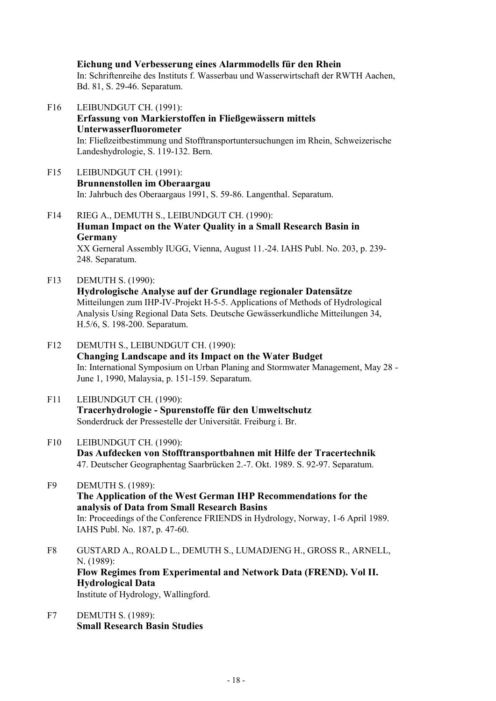**Eichung und Verbesserung eines Alarmmodells für den Rhein** In: Schriftenreihe des Instituts f. Wasserbau und Wasserwirtschaft der RWTH Aachen, Bd. 81, S. 29-46. Separatum.

F16 LEIBUNDGUT CH. (1991): **Erfassung von Markierstoffen in Fließgewässern mittels Unterwasserfluorometer** In: Fließzeitbestimmung und Stofftransportuntersuchungen im Rhein, Schweizerische Landeshydrologie, S. 119-132. Bern.

- F15 LEIBUNDGUT CH. (1991): **Brunnenstollen im Oberaargau** In: Jahrbuch des Oberaargaus 1991, S. 59-86. Langenthal. Separatum.
- F14 RIEG A., DEMUTH S., LEIBUNDGUT CH. (1990): **Human Impact on the Water Quality in a Small Research Basin in Germany** XX Gerneral Assembly IUGG, Vienna, August 11.-24. IAHS Publ. No. 203, p. 239- 248. Separatum.
- F13 DEMUTH S. (1990): **Hydrologische Analyse auf der Grundlage regionaler Datensätze** Mitteilungen zum IHP-IV-Projekt H-5-5. Applications of Methods of Hydrological Analysis Using Regional Data Sets. Deutsche Gewässerkundliche Mitteilungen 34, H.5/6, S. 198-200. Separatum.
- F12 DEMUTH S., LEIBUNDGUT CH. (1990): **Changing Landscape and its Impact on the Water Budget** In: International Symposium on Urban Planing and Stormwater Management, May 28 - June 1, 1990, Malaysia, p. 151-159. Separatum.
- F11 LEIBUNDGUT CH. (1990): **Tracerhydrologie - Spurenstoffe für den Umweltschutz** Sonderdruck der Pressestelle der Universität. Freiburg i. Br.
- F10 LEIBUNDGUT CH. (1990): **Das Aufdecken von Stofftransportbahnen mit Hilfe der Tracertechnik** 47. Deutscher Geographentag Saarbrücken 2.-7. Okt. 1989. S. 92-97. Separatum.
- F9 DEMUTH S. (1989): **The Application of the West German IHP Recommendations for the analysis of Data from Small Research Basins** In: Proceedings of the Conference FRIENDS in Hydrology, Norway, 1-6 April 1989. IAHS Publ. No. 187, p. 47-60.
- F8 GUSTARD A., ROALD L., DEMUTH S., LUMADJENG H., GROSS R., ARNELL, N. (1989): **Flow Regimes from Experimental and Network Data (FREND). Vol II. Hydrological Data** Institute of Hydrology, Wallingford.
- F7 DEMUTH S. (1989): **Small Research Basin Studies**